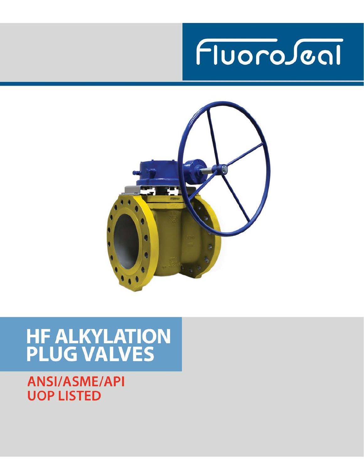



# **HF ALKYLATION<br>PLUG VALVES**

**ANSI/ASME/API UOP LISTED**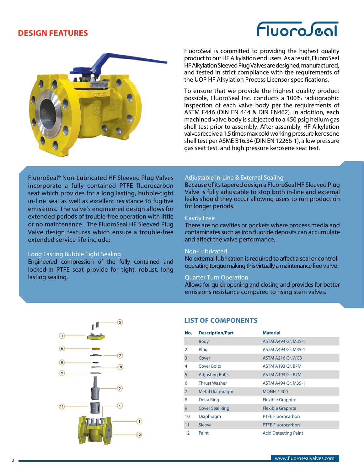### **DESIGN FEATURES**

# FluoroJeal



FluoroSeal is committed to providing the highest quality product to our HF Alkylation end users. As a result, FluoroSeal HF Alkylation Sleeved Plug Valves are designed, manufactured, and tested in strict compliance with the requirements of the UOP HF Alkylation Process Licensor specifications.

To ensure that we provide the highest quality product possible, FluoroSeal Inc. conducts a 100% radiographic inspection of each valve body per the requirements of ASTM E446 (DIN EN 444 & DIN EN462). In addition, each machined valve body is subjected to a 450 psig helium gas shell test prior to assembly. After assembly, HF Alkylation valves receive a 1.5 times max cold working pressure kerosene shell test per ASME B16.34 (DIN EN 12266-1), a low pressure gas seat test, and high pressure kerosene seat test.

FluoroSeal® Non-Lubricated HF Sleeved Plug Valves incorporate a fully contained PTFE fluorocarbon seat which provides for a long lasting, bubble-tight in-line seal as well as excellent resistance to fugitive emissions. The valve's engineered design allows for extended periods of trouble-free operation with little or no maintenance. The FluoroSeal HF Sleeved Plug Valve design features which ensure a trouble-free extended service life include:

### Long Lasting Bubble Tight Sealing

Engineered compression of the fully contained and locked-in PTFE seat provide for tight, robust, long lasting sealing.

### Adjustable In-Line & External Sealing

Because of its tapered design a FluoroSeal HF Sleeved Plug Valve is fully adjustable to stop both in-line and external leaks should they occur allowing users to run production for longer periods.

### Cavity Free

There are no cavities or pockets where process media and contaminates such as iron fluoride deposits can accumulate and affect the valve performance.

### Non-Lubricated

No external lubrication is required to affect a seal or control operating torque making this virtually a maintenance free valve.

### Quarter Turn Operation

Allows for quick opening and closing and provides for better emissions resistance compared to rising stem valves.



### **LIST OF COMPONENTS**

| No. | <b>Description/Part</b> | <b>Material</b>             |
|-----|-------------------------|-----------------------------|
| 1   | <b>Body</b>             | ASTM A494 Gr. M35-1         |
| 2   | Plug                    | <b>ASTM A494 Gr. M35-1</b>  |
| 3   | Cover                   | ASTM A216 Gr. WCB           |
| 4   | <b>Cover Bolts</b>      | ASTM A193 Gr. B7M           |
| 5   | <b>Adjusting Bolts</b>  | <b>ASTM A193 Gr. B7M</b>    |
| 6   | <b>Thrust Washer</b>    | <b>ASTM A494 Gr. M35-1</b>  |
| 7   | <b>Metal Diaphragm</b>  | MONEL <sup>®</sup> 400      |
| 8   | Delta Ring              | <b>Flexible Graphite</b>    |
| 9   | <b>Cover Seal Ring</b>  | <b>Flexible Graphite</b>    |
| 10  | Diaphragm               | <b>PTFE Fluorocarbon</b>    |
| 11  | Sleeve                  | <b>PTFE Fluorocarbon</b>    |
| 12  | Paint                   | <b>Acid Detecting Paint</b> |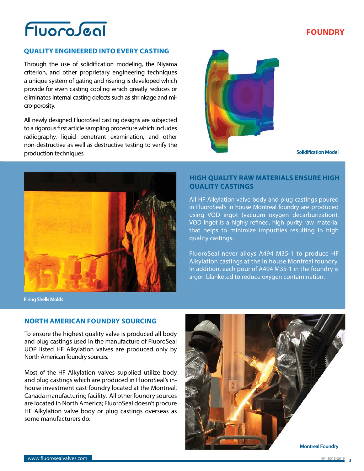# Fluoroscal

# **FOUNDRY**

### **QUALITY ENGINEERED INTO EVERY CASTING**

Through the use of solidification modeling, the Niyama criterion, and other proprietary engineering techniques a unique system of gating and risering is developed which provide for even casting cooling which greatly reduces or eliminates internal casting defects such as shrinkage and micro-porosity.

All newly designed FluoroSeal casting designs are subjected to a rigorous first article sampling procedure which includes radiography, liquid penetrant examination, and other non-destructive as well as destructive testing to verify the production techniques.



**Solidification Model**



### **HIGH QUALITY RAW MATERIALS ENSURE HIGH QUALITY CASTINGS**

All HF Alkylation valve body and plug castings poured in FluoroSeal's in house Montreal foundry are produced using VOD ingot (vacuum oxygen decarburization). VOD ingot is a highly refined, high purity raw material that helps to minimize impurities resulting in high quality castings.

FluoroSeal never alloys A494 M35-1 to produce HF Alkylation castings at the in house Montreal foundry. In addition, each pour of A494 M35-1 in the foundry is argon blanketed to reduce oxygen contamination.

**Firing Shells Molds**

### **NORTH AMERICAN FOUNDRY SOURCING**

To ensure the highest quality valve is produced all body and plug castings used in the manufacture of FluoroSeal UOP listed HF Alkylation valves are produced only by North American foundry sources.

Most of the HF Alkylation valves supplied utilize body and plug castings which are produced in FluoroSeal's inhouse investment cast foundry located at the Montreal, Canada manufacturing facility. All other foundry sources are located in North America; FluoroSeal doesn't procure HF Alkylation valve body or plug castings overseas as some manufacturers do.

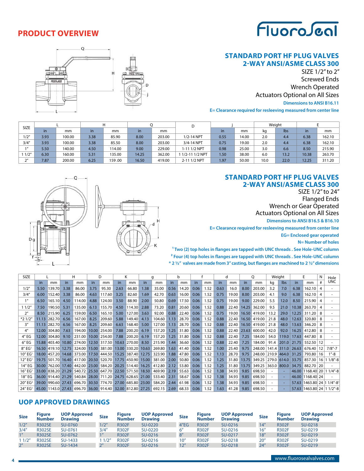

# **PRODUCT OVERVIEW**

### **STANDARD PORT HF PLUG VALVES 2-WAY ANSI/ASME CLASS 300**

SIZE 1/2" to 2" Screwed Ends Wrench Operated Actuators Optional on All Sizes

### **Dimensions to ANSI B16.11**

**E= Clearance required for resleeving measured from center line**



| <b>SIZE</b> |           |        |      |         |       |        |                |      |       |      | Weight |       |        |
|-------------|-----------|--------|------|---------|-------|--------|----------------|------|-------|------|--------|-------|--------|
|             | <i>in</i> | mm     | in.  | mm      | in    | mm     |                | in   | mm    | kg   | Ibs    | in    | mm     |
| 1/2"        | 3.93      | 100.00 | 3.38 | 85.90   | 8.00  | 203.00 | 1/2-14 NPT     | 0.55 | 14.00 | 2.0  | 4.4    | 6.38  | 162.10 |
| 3/4''       | 3.93      | 100.00 | 3.38 | 85.50   | 8.00  | 203.00 | 3/4-14 NPT     | 0.75 | 19.00 | 2.0  | 4.4    | 6.38  | 162.10 |
|             | 5.50      | 140.00 | 4.50 | 114.00  | 9.00  | 229.00 | 1-11 1/2 NPT   | 0.98 | 25.00 | 3.0  | 6.6    | 8.50  | 215.90 |
| 1/2"        | 6.30      | 160.00 | 5.31 | 135.00  | 14.25 | 362.00 | 1/2-11 1/2 NPT | 1.50 | 38.00 | 6.0  | 13.2   | 10.38 | 263.70 |
| $\gamma$    | 7.87      | 200.00 | 6.25 | 00. 159 | 16.50 | 419.00 | 2-11 1/2 NPT   | 1.97 | 50.00 | 10.0 | 22.0   | 12.25 | 311.20 |

### **STANDARD PORT HF PLUG VALVES 2-WAY ANSI/ASME CLASS 300**

SIZE 1/2" to 24" Flanged Ends Wrench or Gear Operated Actuators Optional on All Sizes **Dimensions to ANSI B16.5 & B16.10**

**E= Clearance required for resleeving measured from center line**

**EG= Enclosed gear operated**

**N= Number of holes**

**1 Two (2) top holes in flanges are tapped with UNC threads . See Hole-UNC column 2 Four (4) top holes in flanges are tapped with UNC threads . See Hole-UNC column \* 2 1/2" valves are made from 3" casting, but flanges are machined to 2 1/2" dimensions**



| <b>SIZE</b>            |               |                    |           | н                                                         |       | D            |      |                           |       | q                                                                     |      | b     |           |      |                   | d           |              | O                              |      | Weight        |              |                            | N               | Hole           |
|------------------------|---------------|--------------------|-----------|-----------------------------------------------------------|-------|--------------|------|---------------------------|-------|-----------------------------------------------------------------------|------|-------|-----------|------|-------------------|-------------|--------------|--------------------------------|------|---------------|--------------|----------------------------|-----------------|----------------|
|                        | $\mathsf{In}$ | mm                 | <i>in</i> | mm                                                        | in.   | mm           | in   | mm                        | in    | mm                                                                    | in.  | mm    | <i>in</i> | mm   | in.               | mm          | $\mathsf{I}$ | mm                             | kq   | lbs.          | $\mathsf{I}$ | mm                         |                 | <b>UNC</b>     |
| 1/2"                   | 5.50          | 139.70             | 3.38      | 86.00                                                     | 3.75  | 95.30        | 2.63 | 66.80                     | 1.38  | 35.00                                                                 | 0.56 | 14.20 | 0.06      | 1.52 | 0.63              | 16.0        | 8.00         | 203.00                         | 3.2  | 7.0           | 6.38         | 162.10                     |                 |                |
| 3/4''                  | 6.00          | 152.40             | 3.38      | 86.00                                                     | 4.63  | 117.60       | 3.25 | 82.60                     | 1.69  | 42.70                                                                 | 0.63 | 16.00 | 0.06      | 1.52 | 0.75              | 19.00       | 8.00         | 203.00                         | 4.1  | 9.0           | 6.38         | 162.10                     | 4               |                |
| 1 <sup>n</sup>         | 6.50          | 165.10             | 4.50      | 114.00                                                    | 4.88  | 124.00       | 3.50 | 88.90                     | 2.00  | 50.80                                                                 | 0.69 | 17.50 | 0.06      | 1.52 | 0.75              | 19.00       | 9.00         | 229.00                         | 5.5  | 12.0          | 8.50         | 215.90                     |                 |                |
| 11/2"                  | 7.50          | 190.50             | 5.31      | 135.00                                                    | 6.13  | 155.70       | 4.50 | 114.30                    | 2.88  | 73.20                                                                 | 0.81 | 20.60 | 0.06      | 1.52 | 0.88              | 22.40       | 14.25        | 362.00                         | 9.5  | 21.0          | 10.38        | 263.70                     | 4               |                |
| 2 <sup>n</sup>         | 8.50          | 215.90             | 6.25      | 159.00                                                    | 6.50  | 165.10       | 5.00 | 127.00                    | 3.63  | 92.00                                                                 | 0.88 | 22.40 | 0.06      | 1.52 | 0.75              | 19.00       | 16.50        | 419.00                         | 13.2 | 29.0          | 12.25        | 311.20                     | -8              |                |
| $*21/2'$               | 11.13         | 282.70             | 6.56      | 167.00                                                    | 8.25  | 209.60       | 5.88 | 149.40                    | 4.13  | 104.60                                                                | 1.13 | 28.70 | 0.06      | 1.52 | 0.88              | 22.40       | 16.50        | 419.00                         | 21.8 | 48.0          | 12.63        | 320.80                     | -8              |                |
| 3''                    |               | 11.13 282.70       | 6.56      | 167.00                                                    | 8.25  | 209.60       | 6.63 | 168.40                    | 5.00  | 127.00                                                                | 1.13 | 28.70 | 0.06      | 1.52 | 0.88              | 22.40       |              | 16.50 419.00                   | 21.8 | 48.0          | 13.63        | 346.20                     | -8              |                |
| $4^{\prime\prime}$     |               | 12.00 304.80       | 7.63      | 194.00                                                    | 10.00 | 254.00       | 7.88 | 200.20                    | 6.19  | 157.20                                                                | 1.25 | 31.80 | 0.06      | 1.52 | 0.88              | 22.40 23.63 |              | 600.00                         | 42.0 | 92.0          | 16.25        | 412.80                     | -8              |                |
| 4" EG                  |               | 12.00 304.80       | 9.10      | 231.00                                                    |       | 10.00 254.00 | 7.88 | 200.20                    | 6.19  | 157.20                                                                | 1.25 | 31.80 | 0.06      | 1.52 | 0.88              | 22.40       | 7.25         | 184.00                         | 54.0 | 119.0         | 17.63        | 447.80                     | -8              |                |
| $6''$ EG               |               | 15.88 403.40       | 10.80     | 274.00                                                    |       | 12.50 317.50 |      | 10.63 270.00              | 8.50  | 215.90                                                                | 1.44 | 36.60 | 0.06      | 1.52 | 0.88              | 22.40       | 7.25         | 184.00                         | 91.4 | 201.0         | 21.75        | 552.50                     | 12              |                |
| $8''$ EG <sup>1</sup>  |               | 16.50 419.10       | 12.75     | 324.00                                                    |       | 15.00 381.00 |      | 13.00 330.20              | 10.63 | 269.80                                                                | 1.63 | 41.40 | 0.06      | 1.52 | 1.00 <sub>1</sub> | 25.40       | 9.75         | 248.00   141.4   311.0   26.63 |      |               |              | 676.40                     | 12 <sup>1</sup> | $7/8" - 7$     |
| 10″ EG'                |               | 18.00 457.20       |           | 14.68 373.00                                              |       | 17.50 444.50 |      | 15.25 387.40              | 12.75 | 323.90                                                                | 1.88 | 47.80 | 0.06      | 1.52 | 1.13              | 28.70       | 9.75         | 248.00 210.9 464.0 31.25       |      |               |              | 793.80                     | 16              | $1 - 8$        |
| 12" EG                 |               | 19.75 501.70       |           | 16.40 417.00 20.50 520.70 17.75 450.90 15.00              |       |              |      |                           |       | 381.00                                                                | 2.00 | 50.80 | 0.06      | 1.52 | 1.25              | 31.80       | 13.75        | 349.25                         |      |               |              | 279.0 614.0 33.75 857.30   |                 | $16111/8" - 8$ |
| 14" EG                 |               | 30.00 762.00       | 17.40     | 442.00 23.00                                              |       |              |      | 584.20 20.25 514.40 16.25 |       | 412.80                                                                | 2.12 | 53.80 | 0.06      | 1.52 | 1.25              | 31.80       | 13.75        | 349.25                         |      | $363.0$ 800.0 | 34.75        | 882.70                     | 20              |                |
| 16" EG'                |               | 33.00 838.20 21.29 |           | 540.72   25.50   647.70   22.50   571.50   18.50          |       |              |      |                           |       | 469.90                                                                | 2.19 | 55.63 | 0.06      | 1.52 | 1.38              | 34.93       | 9.85         | 698.50                         |      |               |              | 46.00 1168.40 20 1 1/4"-8  |                 |                |
| 18" EG                 |               | 36.00 914.40 21.29 |           | 540.84 28.00 711.20 24.75 628.65 21.00                    |       |              |      |                           |       | 533.40                                                                | 2.31 | 58.67 | 0.06      | 1.52 | 1.38              | 34.93       | 9.85         | 698.50                         |      |               |              | 46.00 1168.40 24           |                 |                |
| $20''$ EG <sup>2</sup> |               |                    |           | 39.00 990.60 27.43 696.70 30.50 774.70 27.00 685.80 23.00 |       |              |      |                           |       | 584.20                                                                | 2.44 | 61.98 | 0.06      | 1.52 | 1.38              | 34.93       | 9.85         | 698.50                         | ۰    |               |              | 57.63 1463.80 24 1 1/4"-81 |                 |                |
| $24''$ EG <sup>1</sup> |               |                    |           |                                                           |       |              |      |                           |       | 45.00 1143.0 27.43 696.70 36.00 914.40 32.00 812.80 27.25 692.15 2.69 |      | 68.33 | 0.06      | 1.52 | 1.63              | 41.28       | 9.85         | 698.50                         |      |               |              | 57.63 1463.80 24 1 1/2"-8  |                 |                |

### **UOP APPROVED DRAWINGS**

| <b>Size</b>     | Fiaure<br><b>Number</b> | <b>UOP Approved</b><br><b>Drawing</b> | <b>Size</b> | Figure<br><b>Number</b> | <b>UOP Approved</b><br><b>Drawing</b> | <b>Size</b>     | Figure<br><b>Number</b> | <b>UOP Approved</b><br><b>Drawing</b> | <b>Size</b> | <b>Figure</b><br><b>Number</b> | <b>UOP Approved</b><br><b>Drawing</b> |
|-----------------|-------------------------|---------------------------------------|-------------|-------------------------|---------------------------------------|-----------------|-------------------------|---------------------------------------|-------------|--------------------------------|---------------------------------------|
| 1/2"            | <b>R302SE</b>           | SU-0760                               | 1/2"        | <b>R302F</b>            | SU-0220                               | 4"EG            | <b>R302F</b>            | SU-0216                               | 14''        | <b>R302F</b>                   | SU-0218                               |
| 3/4''           | <b>R302SE</b>           | SU-0761                               | 3/4"        | <b>R302F</b>            | SU-0220                               | 6''             | <b>R302F</b>            | SU-0216                               | 16"         | <b>R302F</b>                   | SU-0219                               |
| 1 <sup>''</sup> | <b>R302SE</b>           | SU-0762                               |             | <b>R302F</b>            | SU-0216                               | 8''             | <b>R302F</b>            | SU-0217                               | 18''        | <b>R302F</b>                   | SU-0219                               |
| 1 1/2″          | <b>R302SE</b>           | SU-1433                               | 1/2"        | <b>R302F</b>            | SU-0216                               | 10 <sup>n</sup> | <b>R302F</b>            | SU-0218                               | 20''        | <b>R302F</b>                   | SU-0219                               |
| 2 <sup>''</sup> | <b>R302SE</b>           | SU-1434                               |             | <b>R302F</b>            | SU-0216                               | 12"             | <b>R302F</b>            | SU-0218                               | 24''        | <b>R302F</b>                   | SU-0219                               |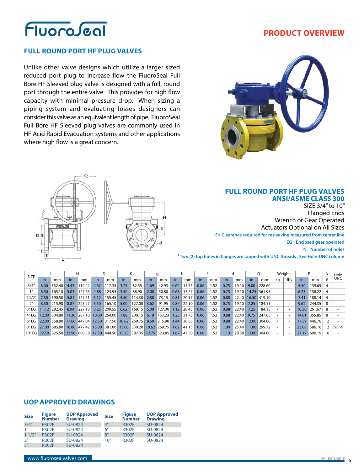

### **PRODUCT OVERVIEW**

### **FULL ROUND PORT HF PLUG VALVES**

Unlike other valve designs which utilize a larger sized reduced port plug to increase flow the FluoroSeal Full Bore HF Sleeved plug valve is designed with a full, round port through the entire valve. This provides for high flow capacity with minimal pressure drop. When sizing a piping system and evaluating losses designers can consider this valve as an equivalent length of pipe. FluoroSeal Full Bore HF Sleeved plug valves are commonly used in HF Acid Rapid Evacuation systems and other applications where high flow is a great concern.





### **FULL ROUND PORT HF PLUG VALVES ANSI/ASME CLASS 300**

SIZE 3/4" to 10" Flanged Ends Wrench or Gear Operated Actuators Optional on All Sizes **E= Clearance required for resleeving measured from center line EG= Enclosed gear operated N= Number of holes**

**1 Two (2) top holes in flanges are tapped with UNC threads . See Hole-UNC column** 

|             |      |                  |      | н      |      |                                        |           |                                                                         |           |        |      |       |           |      |           |             |       |                    |    | Weight |       |                  |                 | Hole       |
|-------------|------|------------------|------|--------|------|----------------------------------------|-----------|-------------------------------------------------------------------------|-----------|--------|------|-------|-----------|------|-----------|-------------|-------|--------------------|----|--------|-------|------------------|-----------------|------------|
| <b>SIZE</b> |      | mm               | in.  | mm     | in.  | mm                                     | <i>in</i> | mm                                                                      | <i>in</i> | mm     | in   | mm    | <i>in</i> | mm   | <i>in</i> | mm          | in.   | mm                 | kq | lbs    |       | mm               |                 | <b>UNC</b> |
| 3/4''       | 6.00 | 152.40           | 4.43 | 112.42 | 4.62 | 117.35                                 | 3.25      | 82.55                                                                   | 1.69      | 42.93  | 0.62 | 15.75 | 0.06      | 1.52 | 0.75      | 19.10       | 9.00  | 228.60             |    |        | 5.50  | 139.65           |                 |            |
|             | 6.50 | 165.10           | 5.03 | 127.65 | 4.88 | 123.95                                 | 3.50      | 88.90                                                                   | 2.00      | 50.80  | 0.68 | 17.27 | 0.06      | 1.52 | 0.75      | 19.10       |       | 14.25 361.95       |    |        | 6.23  | 158.22           |                 |            |
| 1/2''       | 7.50 | 190.50           | 5.81 | 147.51 | 6.12 | 155.45                                 | 4.50      | 114.30                                                                  | 2.88      | 73.15  | 0.81 | 20.57 | 0.06      | 1.52 | 0.88      |             |       | 22.40 16.50 419.10 |    |        | 7.41  | 188.14           |                 |            |
|             | 8.50 | 215.90           | 8.87 | 225.27 | 6.50 | 165.10                                 | 5.00      | 127.00                                                                  | 3.62      | 91.95  | 0.87 | 22.10 | 0.06      | 1.52 | 0.75      | 19.10       | 7.25  | 184.15             |    |        | 9.62  | 244.35           |                 |            |
| $3''$ EG    |      | $11.12$   282.45 | 8.94 | 227.18 | 8.25 | 209.55                                 | 6.62      | 168.15                                                                  | 5.00      | 127.00 | 1.12 | 28.45 | 0.06      | 1.52 | 0.88      | 22.40       | 7.25  | 184.15             |    |        |       | $10.30$   261.67 | -8              |            |
| 4" EG       |      |                  |      |        |      | 12.00 304.80 11.30 287.10 10.00 254.00 | 7.88      | 200.15                                                                  | 6.19      | 157.23 | 1.25 | 31.75 | 0.06      | 1.52 | 0.88      | 22.40 9.75  |       | 247.65             |    |        | 14.01 | 355.85           | -8              |            |
| $6''$ EG    |      |                  |      |        |      |                                        |           | 22.00 558.80 17.60 447.04 12.50 317.50 10.62 269.75                     | 8.50      | 215.90 | 1.44 | 36.58 | 0.06      | 1.52 | 0.88      | 22.40 12.00 |       | 304.80             |    |        | 17.59 | 446.76           | 12              |            |
| 8″ EG       |      |                  |      |        |      |                                        |           | 27.00 685.80 18.80 477.42 15.00 381.00 13.00 330.20 10.62 269.75        |           |        | 1.62 | 41.15 | 0.06      | 1.52 | 1.00      |             |       | 25.40 11.80 299.72 |    |        |       | 23.08 586.16     | 12              | $7/8" - 9$ |
|             |      |                  |      |        |      |                                        |           | 10" EG 32.50 825.50 23.96 608.58 17.50 444.50 15.25 387.35 12.75 323.85 |           |        | 1.87 | 47.50 | 0.06      | 1.52 | 1.13      | 28.58       | 12.00 | 304.80             |    |        |       | 27.17 690.19     | 16 <sup>1</sup> |            |

### **UOP APPROVED DRAWINGS**

| <b>Size</b>    | <b>Figure</b><br><b>Number</b> | <b>UOP Approved</b><br><b>Drawing</b> | <b>Size</b>     | <b>Figure</b><br><b>Number</b> | <b>UOP Approved</b><br><b>Drawing</b> |
|----------------|--------------------------------|---------------------------------------|-----------------|--------------------------------|---------------------------------------|
| 3/4''          | <b>R302F</b>                   | SU-0824                               | 4 <sup>''</sup> | <b>R302F</b>                   | SU-0824                               |
| 1 <sup>n</sup> | <b>R302F</b>                   | SU-0824                               | 6″              | <b>R302F</b>                   | SU-0824                               |
| 11/2"          | <b>R302F</b>                   | SU-0824                               | 8''             | <b>R302F</b>                   | SU-0824                               |
| 2 <sup>n</sup> | <b>R302F</b>                   | SU-0824                               | 10''            | <b>R302F</b>                   | SU-0824                               |
| 3''            | <b>R302F</b>                   | SU-0824                               |                 |                                |                                       |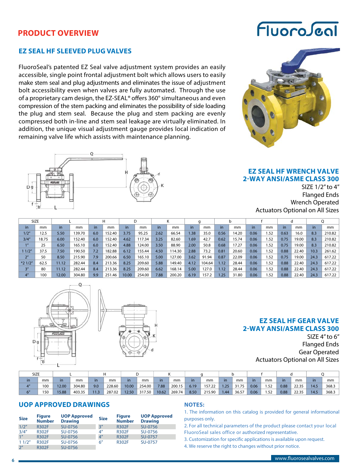## **PRODUCT OVERVIEW**

### **EZ SEAL HF SLEEVED PLUG VALVES**

FluoroSeal's patented EZ Seal valve adjustment system provides an easily accessible, single point frontal adjustment bolt which allows users to easily make stem seal and plug adjustments and eliminates the issue of adjustment bolt accessibility even when valves are fully automated. Through the use of a proprietary cam design, the EZ-SEAL® offers 360° simultaneous and even compression of the stem packing and eliminates the possibility of side loading the plug and stem seal. Because the plug and stem packing are evenly compressed both in-line and stem seal leakage are virtually eliminated. In addition, the unique visual adjustment gauge provides local indication of remaining valve life which assists with maintenance planning.



# FluoroJeal



### **EZ SEAL HF WRENCH VALVE 2-WAY ANSI/ASME CLASS 300**

SIZE 1/2" to 4" Flanged Ends Wrench Operated Actuators Optional on All Sizes

| <b>SIZE</b>     |       |       |        |           |        |       |        |      |        |                   |        |       |       |      |      |      |       |      |        |
|-----------------|-------|-------|--------|-----------|--------|-------|--------|------|--------|-------------------|--------|-------|-------|------|------|------|-------|------|--------|
| in.             | mm    | in.   | mm     | <i>in</i> | mm     | in    | mm     | in   | mm     | in                | mm     | in    | mm    | in   | mm   | in.  | mm    | in.  | mm     |
| 1/2"            | 12.5  | 5.50  | 139.70 | 6.0       | 152.40 | 3.75  | 95.25  | 2.62 | 66.54  | 1.38 <sup>°</sup> | 35.0   | 0.56  | 14.20 | 0.06 | 1.52 | 0.63 | 16.0  | 8.3  | 210.82 |
| 3/4''           | 18.75 | 6.00  | 152.40 | 6.0       | 152.40 | 4.62  | 117.34 | 3.25 | 82.60  | 1.69              | 42.7   | 0.62  | 15.74 | 0.06 | 1.52 | 0.75 | 19.00 | 8.3  | 210.82 |
|                 | 25    | 6.50  | 165.10 | 6.0       | 152.40 | 4.88  | 124.00 | 3.50 | 88.90  | 2.00              | 50.8   | 0.68  | 17.27 | 0.06 | 1.52 | 0.75 | 19.00 | 8.3  | 210.82 |
| 11/2''          | 37.5  | 7.50  | 190.50 | 7.2       | 182.88 | 6.12  | 155.44 | 4.50 | 14.30  | 2.88              | 73.2   | 0.81  | 20.60 | 0.06 | 1.52 | 0.88 | 22.40 | 10.3 | 261.62 |
| 2 <sup>n</sup>  | 50    | 8.50  | 215.90 | 7.9       | 200.66 | 6.50  | 165.10 | 5.00 | 27.00  | 3.62              | 91.94  | 0.87  | 22.09 | 0.06 | 1.52 | 0.75 | 19.00 | 24.3 | 617.22 |
| $*21/2"$        | 62.5  | 11.12 | 282.44 | 8.4       | 213.36 | 8.25  | 209.60 | 5.88 | 149.40 | 4.12              | 104.64 | 1.127 | 28.44 | 0.06 | 1.52 | 0.88 | 22.40 | 24.3 | 617.22 |
| 3''             | 80    | 11.12 | 282.44 | 8.4       | 213.36 | 8.25  | 209.60 | 6.62 | 168.14 | 5.00              | 127.0  | 1.12  | 28.44 | 0.06 | 1.52 | 0.88 | 22.40 | 24.3 | 617.22 |
| 4 <sup>''</sup> | 100   | 12.00 | 304.80 | 9.9       | 251.46 | 10.00 | 254.00 | 7.88 | 200.20 | 6.19              | 157.2  | 1.25  | 31.80 | 0.06 | 1.52 | 0.88 | 22.40 | 24.3 | 617.22 |



### **EZ SEAL HF GEAR VALVE 2-WAY ANSI/ASME CLASS 300**

SIZE 4" to 6" Flanged Ends Gear Operated Actuators Optional on All Sizes

| SIZE                    |     |       |        |      |        |       |        |       |        |           |        |           |       |      |      |      |       |      |       |
|-------------------------|-----|-------|--------|------|--------|-------|--------|-------|--------|-----------|--------|-----------|-------|------|------|------|-------|------|-------|
| in.                     | mm  | in    | mm     | in   | mm     |       | mm     | in    | mm     | <i>in</i> | mm     | <i>in</i> | mm    | in.  | mm   | in.  | mm    |      | mm    |
|                         | 100 | 12.00 | 304.80 | 9.0  | 228.60 | 10.00 | 254.00 | 7.88  | 200.15 | 6.19      | 157.22 | 1.25      | 31.75 | 0.06 | 1.52 | 0.88 | 22.35 | 14.5 | 368.3 |
| $\epsilon$ <sup>n</sup> | 150 | 15.88 | 403.35 | 11.3 | 287.02 | 12.50 | 317.50 | 10.62 | 269.74 | 8.50      | 215.90 | 1.44      | 36.57 | 0.06 | 1.52 | 0.88 | 22.35 | 14.5 | 368.3 |

### **UOP APPROVED DRAWINGS**

| <b>Size</b>     | <b>Figure</b><br><b>Number</b> | <b>UOP Approved</b><br><b>Drawing</b> | <b>Size</b>     | <b>Figure</b><br><b>Number</b> | <b>UOP Approved</b><br><b>Drawing</b> |
|-----------------|--------------------------------|---------------------------------------|-----------------|--------------------------------|---------------------------------------|
| 1/2"            | <b>R302F</b>                   | SU-0756                               | 3''             | <b>R302F</b>                   | SU-0756                               |
| 3/4''           | <b>R302F</b>                   | SU-0756                               | 4 <sup>''</sup> | <b>R302F</b>                   | SU-0756                               |
| 1 <sup>''</sup> | <b>R302F</b>                   | SU-0756                               | 4 <sup>''</sup> | <b>R302F</b>                   | SU-0757                               |
| 11/2"           | <b>R302F</b>                   | SU-0756                               | 6''             | <b>R302F</b>                   | SU-0757                               |
| 2 <sup>''</sup> | <b>R302F</b>                   | SU-0756                               |                 |                                |                                       |

### **NOTES:**

1. The information on this catalog is provided for general informational purposes only.

2. For all technical parameters of the product please contact your local FluoroSeal sales office or authorized representative.

3. Customization for specific applications is available upon request.

4. We reserve the right to changes without prior notice.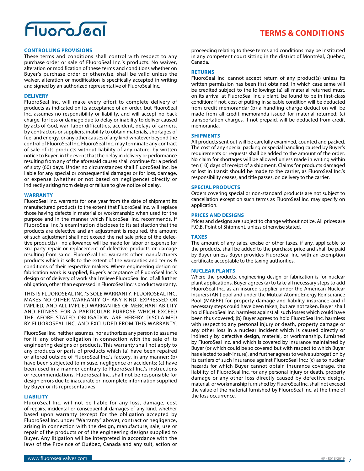# FluoroJeg

### **CONTROLLING PROVISIONS**

These terms and conditions shall control with respect to any purchase order or sale of FluoroSeal Inc.'s products. No waiver, alteration or modification of these terms and conditions whether on Buyer's purchase order or otherwise, shall be valid unless the waiver, alteration or modification is specifically accepted in writing and signed by an authorized representative of FluoroSeal Inc.

### **DELIVERY**

FluoroSeal Inc. will make every effort to complete delivery of products as indicated on its acceptance of an order, but FluoroSeal Inc. assumes no responsibility or liability, and will accept no back charge, for loss or damage due to delay or inability to deliver caused by acts of God, war, labor difficulties, accident, delays of carriers, by contractors or suppliers, inability to obtain materials, shortages of fuel and energy, or any other causes of any kind whatever beyond the control of FluoroSeal Inc. FluoroSeal Inc. may terminate any contract of sale of its products without liability of any nature, by written notice to Buyer, in the event that the delay in delivery or performance resulting from any of the aforesaid causes shall continue for a period of sixty (60) days. Under no circumstances shall FluoroSeal Inc. be liable for any special or consequential damages or for loss, damage, or expense (whether or not based on negligence) directly or indirectly arising from delays or failure to give notice of delay.

### **WARRANTY**

FluoroSeal Inc. warrants for one year from the date of shipment its manufactured products to the extent that FluoroSeal Inc. will replace those having defects in material or workmanship when used for the purpose and in the manner which FluoroSeal Inc. recommends. If FluoroSeal Inc.'s examination discloses to its satisfaction that the products are defective and an adjustment is required, the amount of such adjustment shall not exceed the net sale price of the defective product(s) - no allowance will be made for labor or expense for 3rd party repair or replacement of defective products or damage resulting from same. FluoroSeal Inc. warrants other manufacturers products which it sells to the extent of the warranties and terms & conditions of their respective makers. Where engineering design or fabrication work is supplied, Buyer's acceptance of FluoroSeal Inc.'s design or of delivery of work shall relieve FluoroSeal Inc. of all further obligation, other than expressed in FluoroSeal Inc.'s product warranty.

THIS IS FLUOROSEAL INC.'S SOLE WARRANTY. FLUOROSEAL INC. MAKES NO OTHER WARRANTY OF ANY KIND, EXPRESSED OR IMPLIED, AND ALL IMPLIED WARRANTIES OF MERCHANTABILITY AND FITNESS FOR A PARTICULAR PURPOSE WHICH EXCEED THE AFORE STATED OBLIGATION ARE HEREBY DISCLAIMED BY FLUOROSEAL INC. AND EXCLUDED FROM THIS WARRANTY.

FluoroSeal Inc. neither assumes, nor authorizes any person to assume for it, any other obligation in connection with the sale of its engineering designs or products. This warranty shall not apply to any products or parts of products which (a) have been repaired or altered outside of FluoroSeal Inc.'s factory, in any manner; (b) have been subjected to misuse, negligence or accidents; (c) have been used in a manner contrary to FluoroSeal Inc.'s instructions or recommendations. FluoroSeal Inc. shall not be responsible for design errors due to inaccurate or incomplete information supplied by Buyer or its representatives.

### **LIABILITY**

FluoroSeal Inc. will not be liable for any loss, damage, cost of repairs, incidental or consequential damages of any kind, whether based upon warranty (except for the obligation accepted by FluoroSeal Inc. under "Warranty" above), contract or negligence, arising in connection with the design, manufacture, sale, use or repair of the products or of the engineering designs supplied to Buyer. Any litigation will be interpreted in accordance with the laws of the Province of Québec, Canada and any suit, action or

**TERMS & CONDITIONS**

### **RETURNS**

FluoroSeal Inc. cannot accept return of any product(s) unless its written permission has been first obtained, in which case same will be credited subject to the following: (a) all material returned must, on its arrival at FluoroSeal Inc.'s plant, be found to be in first-class condition; if not, cost of putting in saleable condition will be deducted from credit memoranda; (b) a handling charge deduction will be made from all credit memoranda issued for material returned; (c) transportation charges, if not prepaid, will be deducted from credit memoranda.

### **SHIPMENTS**

All products sent out will be carefully examined, counted and packed. The cost of any special packing or special handling caused by Buyer's requirements or requests shall be added to the amount of the order. No claim for shortages will be allowed unless made in writing within ten (10) days of receipt of a shipment. Claims for products damaged or lost in transit should be made to the carrier, as FluoroSeal Inc.'s responsibility ceases, and title passes, on delivery to the carrier.

### **SPECIAL PRODUCTS**

Orders covering special or non-standard products are not subject to cancellation except on such terms as FluoroSeal Inc. may specify on application.

#### **PRICES AND DESIGNS**

Prices and designs are subject to change without notice. All prices are F.O.B. Point of Shipment, unless otherwise stated.

### **TAXES**

The amount of any sales, excise or other taxes, if any, applicable to the products, shall be added to the purchase price and shall be paid by Buyer unless Buyer provides FluoroSeal Inc. with an exemption certificate acceptable to the taxing authorities.

### **NUCLEAR PLANTS**

Where the products, engineering design or fabrication is for nuclear plant applications, Buyer agrees (a) to take all necessary steps to add FluoroSeal Inc. as an insured supplier under the American Nuclear Insurers (ANI) pool and under the Mutual Atomic Energy Reinsurance Pool (MAERP) for property damage and liability insurance and if necessary steps could have been taken, but are not taken, Buyer shall hold FluoroSeal Inc. harmless against all such losses which could have been thus covered; (b) Buyer agrees to hold FluoroSeal Inc. harmless with respect to any personal injury or death, property damage or any other loss in a nuclear incident which is caused directly or indirectly by defective design, material, or workmanship, furnished by FluoroSeal Inc. and which is covered by insurance maintained by Buyer (or which could be so covered but with respect to which Buyer has elected to self-insure), and further agrees to waive subrogation by its carriers of such insurance against FluoroSeal Inc.; (c) as to nuclear hazards for which Buyer cannot obtain insurance coverage, the liability of FluoroSeal Inc. for any personal injury or death, property damage or any other loss directly caused by defective design, material, or workmanship furnished by FluoroSeal Inc. shall not exceed the value of the material furnished by FluoroSeal Inc. at the time of the loss occurrence.